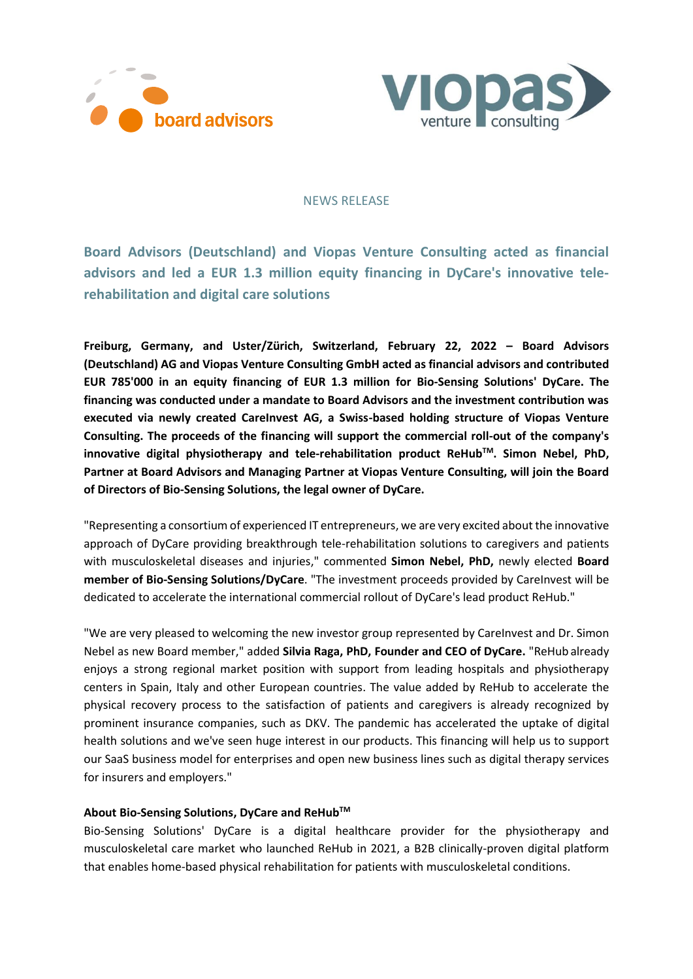



### NEWS RELEASE

**Board Advisors (Deutschland) and Viopas Venture Consulting acted as financial advisors and led a EUR 1.3 million equity financing in DyCare's innovative telerehabilitation and digital care solutions** 

**Freiburg, Germany, and Uster/Zürich, Switzerland, February 22, 2022 – Board Advisors (Deutschland) AG and Viopas Venture Consulting GmbH acted as financial advisors and contributed EUR 785'000 in an equity financing of EUR 1.3 million for Bio-Sensing Solutions' DyCare. The financing was conducted under a mandate to Board Advisors and the investment contribution was executed via newly created CareInvest AG, a Swiss-based holding structure of Viopas Venture Consulting. The proceeds of the financing will support the commercial roll-out of the company's innovative digital physiotherapy and tele-rehabilitation product ReHubTM. Simon Nebel, PhD, Partner at Board Advisors and Managing Partner at Viopas Venture Consulting, will join the Board of Directors of Bio-Sensing Solutions, the legal owner of DyCare.**

"Representing a consortium of experienced IT entrepreneurs, we are very excited about the innovative approach of DyCare providing breakthrough tele-rehabilitation solutions to caregivers and patients with musculoskeletal diseases and injuries," commented **Simon Nebel, PhD,** newly elected **Board member of Bio-Sensing Solutions/DyCare**. "The investment proceeds provided by CareInvest will be dedicated to accelerate the international commercial rollout of DyCare's lead product ReHub."

"We are very pleased to welcoming the new investor group represented by CareInvest and Dr. Simon Nebel as new Board member," added **Silvia Raga, PhD, Founder and CEO of DyCare.** "ReHub already enjoys a strong regional market position with support from leading hospitals and physiotherapy centers in Spain, Italy and other European countries. The value added by ReHub to accelerate the physical recovery process to the satisfaction of patients and caregivers is already recognized by prominent insurance companies, such as DKV. The pandemic has accelerated the uptake of digital health solutions and we've seen huge interest in our products. This financing will help us to support our SaaS business model for enterprises and open new business lines such as digital therapy services for insurers and employers."

### **About Bio-Sensing Solutions, DyCare and ReHubTM**

Bio-Sensing Solutions' DyCare is a digital healthcare provider for the physiotherapy and musculoskeletal care market who launched ReHub in 2021, a B2B clinically-proven digital platform that enables home-based physical rehabilitation for patients with musculoskeletal conditions.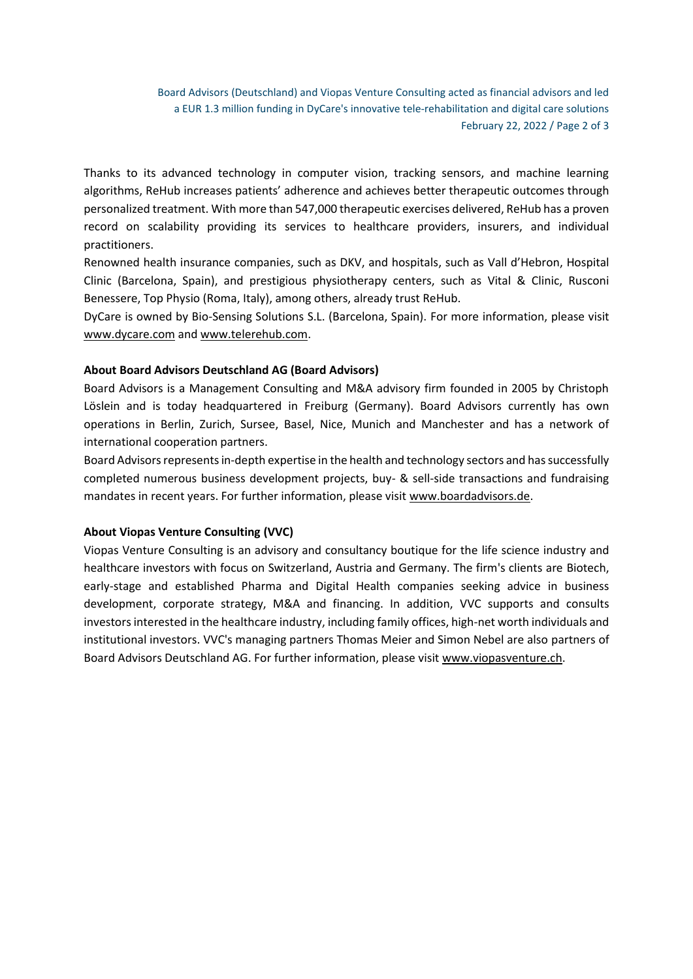Board Advisors (Deutschland) and Viopas Venture Consulting acted as financial advisors and led a EUR 1.3 million funding in DyCare's innovative tele-rehabilitation and digital care solutions February 22, 2022 / Page 2 of 3

Thanks to its advanced technology in computer vision, tracking sensors, and machine learning algorithms, ReHub increases patients' adherence and achieves better therapeutic outcomes through personalized treatment. With more than 547,000 therapeutic exercises delivered, ReHub has a proven record on scalability providing its services to healthcare providers, insurers, and individual practitioners.

Renowned health insurance companies, such as DKV, and hospitals, such as Vall d'Hebron, Hospital Clinic (Barcelona, Spain), and prestigious physiotherapy centers, such as Vital & Clinic, Rusconi Benessere, Top Physio (Roma, Italy), among others, already trust ReHub.

DyCare is owned by Bio-Sensing Solutions S.L. (Barcelona, Spain). For more information, please visit [www.dycare.com](http://www.dycare.com/) and [www.telerehub.com.](http://www.telerehub.com/)

# **About Board Advisors Deutschland AG (Board Advisors)**

Board Advisors is a Management Consulting and M&A advisory firm founded in 2005 by Christoph Löslein and is today headquartered in Freiburg (Germany). Board Advisors currently has own operations in Berlin, Zurich, Sursee, Basel, Nice, Munich and Manchester and has a network of international cooperation partners.

Board Advisors representsin-depth expertise in the health and technology sectors and has successfully completed numerous business development projects, buy- & sell-side transactions and fundraising mandates in recent years. For further information, please visi[t www.boardadvisors.de.](http://www.boardadvisors.de/)

### **About Viopas Venture Consulting (VVC)**

Viopas Venture Consulting is an advisory and consultancy boutique for the life science industry and healthcare investors with focus on Switzerland, Austria and Germany. The firm's clients are Biotech, early-stage and established Pharma and Digital Health companies seeking advice in business development, corporate strategy, M&A and financing. In addition, VVC supports and consults investors interested in the healthcare industry, including family offices, high-net worth individuals and institutional investors. VVC's managing partners Thomas Meier and Simon Nebel are also partners of Board Advisors Deutschland AG. For further information, please visit [www.viopasventure.ch.](http://www.viopasventure.ch/)